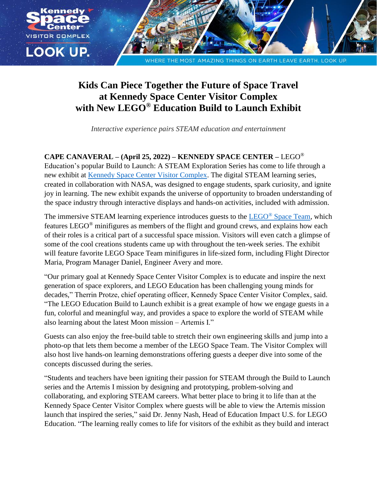

## **Kids Can Piece Together the Future of Space Travel at Kennedy Space Center Visitor Complex with New LEGO® Education Build to Launch Exhibit**

*Interactive experience pairs STEAM education and entertainment*

## **CAPE CANAVERAL – (April 25, 2022) – KENNEDY SPACE CENTER –** LEGO®

Education's popular Build to Launch: A STEAM Exploration Series has come to life through a new exhibit at **Kennedy Space Center Visitor Complex**. The digital STEAM learning series, created in collaboration with NASA, was designed to engage students, spark curiosity, and ignite joy in learning. The new exhibit expands the universe of opportunity to broaden understanding of the space industry through interactive displays and hands-on activities, included with admission.

The immersive STEAM learning experience introduces guests to the LEGO<sup>®</sup> [Space Team,](https://education.lego.com/en-us/build-to-launch#meet-the-lego-space-team) which features LEGO® minifigures as members of the flight and ground crews, and explains how each of their roles is a critical part of a successful space mission. Visitors will even catch a glimpse of some of the cool creations students came up with throughout the ten-week series. The exhibit will feature favorite LEGO Space Team minifigures in life-sized form, including Flight Director Maria, Program Manager Daniel, Engineer Avery and more.

"Our primary goal at Kennedy Space Center Visitor Complex is to educate and inspire the next generation of space explorers, and LEGO Education has been challenging young minds for decades," Therrin Protze, chief operating officer, Kennedy Space Center Visitor Complex, said. "The LEGO Education Build to Launch exhibit is a great example of how we engage guests in a fun, colorful and meaningful way, and provides a space to explore the world of STEAM while also learning about the latest Moon mission – Artemis I."

Guests can also enjoy the free-build table to stretch their own engineering skills and jump into a photo-op that lets them become a member of the LEGO Space Team. The Visitor Complex will also host live hands-on learning demonstrations offering guests a deeper dive into some of the concepts discussed during the series.

"Students and teachers have been igniting their passion for STEAM through the Build to Launch series and the Artemis I mission by designing and prototyping, problem-solving and collaborating, and exploring STEAM careers. What better place to bring it to life than at the Kennedy Space Center Visitor Complex where guests will be able to view the Artemis mission launch that inspired the series," said Dr. Jenny Nash, Head of Education Impact U.S. for LEGO Education. "The learning really comes to life for visitors of the exhibit as they build and interact